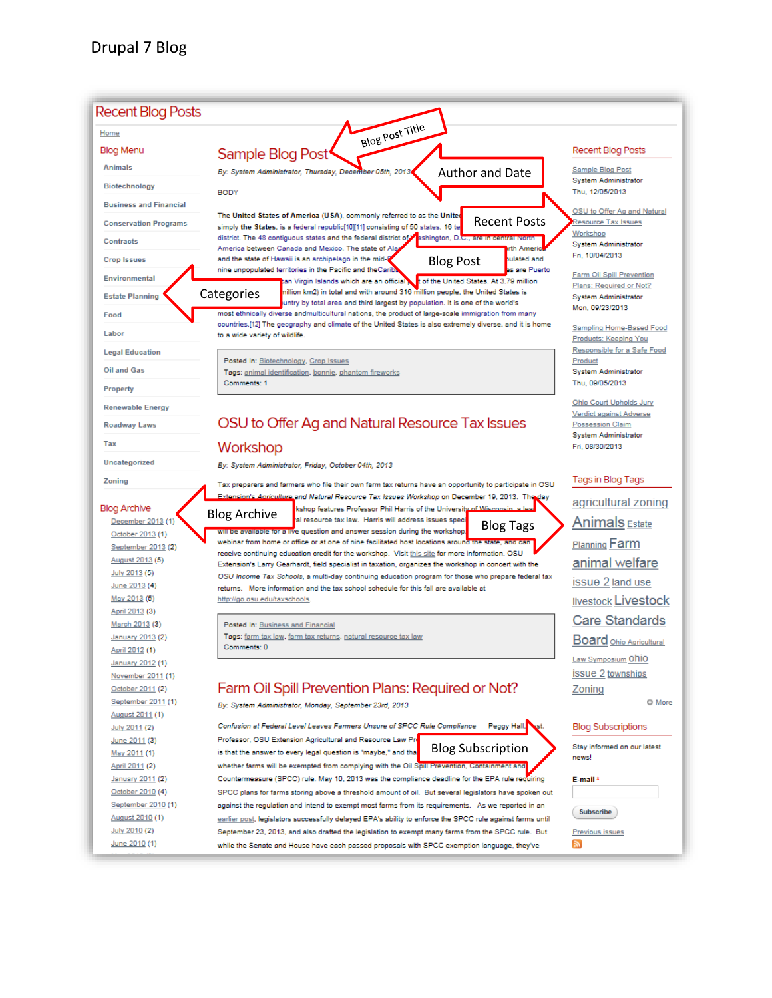| <b>Recent Blog Posts</b>               |                                                                                                                                                                                                       |                                                        |
|----------------------------------------|-------------------------------------------------------------------------------------------------------------------------------------------------------------------------------------------------------|--------------------------------------------------------|
| Home                                   | Blog Post Title                                                                                                                                                                                       |                                                        |
| <b>Blog Menu</b>                       |                                                                                                                                                                                                       | <b>Recent Blog Posts</b>                               |
| <b>Animals</b>                         | Sample Blog Post                                                                                                                                                                                      |                                                        |
|                                        | Author and Date<br>By: System Administrator, Thursday, December 05th, 2013                                                                                                                            | Sample Blog Post<br><b>System Administrator</b>        |
| Biotechnology                          | <b>BODY</b>                                                                                                                                                                                           | Thu, 12/05/2013                                        |
| <b>Business and Financial</b>          |                                                                                                                                                                                                       | OSU to Offer Ag and Natural                            |
| <b>Conservation Programs</b>           | The United States of America (USA), commonly referred to as the United<br><b>Recent Posts</b><br>simply the States, is a federal republic[10][11] consisting of 50 states, 16 te                      | Resource Tax Issues                                    |
| <b>Contracts</b>                       | district. The 48 contiguous states and the federal district of ashington, D.C., are in central ivorth                                                                                                 | Workshop                                               |
|                                        | America between Canada and Mexico. The state of Ala                                                                                                                                                   | <b>System Administrator</b><br>Fri. 10/04/2013         |
| <b>Crop Issues</b>                     | and the state of Hawaii is an archipelago in the mid-<br>bulated and<br><b>Blog Post</b><br>es are Puerto<br>nine unpopulated territories in the Pacific and theCarib                                 |                                                        |
| <b>Environmental</b>                   | can Virgin Islands which are an official to f the United States. At 3.79 million                                                                                                                      | Farm Oil Spill Prevention<br>Plans: Required or Not?   |
| <b>Estate Planning</b>                 | million km2) in total and with around 316 million people, the United States is<br>Categories<br>untry by total area and third largest by population. It is one of the world's                         | <b>System Administrator</b>                            |
| Food                                   | most ethnically diverse andmulticultural nations, the product of large-scale immigration from many                                                                                                    | Mon, 09/23/2013                                        |
| Labor                                  | countries.[12] The geography and climate of the United States is also extremely diverse, and it is home                                                                                               | Sampling Home-Based Food                               |
|                                        | to a wide variety of wildlife.                                                                                                                                                                        | Products: Keeping You                                  |
| <b>Legal Education</b>                 | Posted In: Biotechnology, Crop Issues                                                                                                                                                                 | Responsible for a Safe Food<br>Product                 |
| <b>Oil and Gas</b>                     | Tags: animal identification, bonnie, phantom fireworks                                                                                                                                                | <b>System Administrator</b>                            |
| Property                               | Comments: 1                                                                                                                                                                                           | Thu, 09/05/2013                                        |
| <b>Renewable Energy</b>                |                                                                                                                                                                                                       | Ohio Court Upholds Jury                                |
|                                        |                                                                                                                                                                                                       | Verdict against Adverse                                |
| <b>Roadway Laws</b>                    | OSU to Offer Ag and Natural Resource Tax Issues                                                                                                                                                       | <b>Possession Claim</b><br><b>System Administrator</b> |
| Tax                                    | Workshop                                                                                                                                                                                              | Fri, 08/30/2013                                        |
| Uncategorized                          | By: System Administrator, Friday, October 04th, 2013                                                                                                                                                  |                                                        |
| Zoning                                 |                                                                                                                                                                                                       | Tags in Blog Tags                                      |
|                                        | Tax preparers and farmers who file their own farm tax returns have an opportunity to participate in OSU                                                                                               |                                                        |
| <b>Blog Archive</b>                    | Extension's Agriculture and Natural Resource Tax Issues Workshop on December 19, 2013. The day<br>kshop features Professor Phil Harris of the University of Wisconsin all                             | agricultural zoning                                    |
| December 2013 (1)                      | <b>Blog Archive</b><br>al resource tax law. Harris will address issues speci                                                                                                                          | <u>Animals <sub>Estate</sub></u>                       |
| October 2013 (1)                       | <b>Blog Tags</b><br>will be available for a live question and answer session during the workshop.                                                                                                     |                                                        |
| September 2013 (2)                     | webinar from home or office or at one of nine facilitated host locations around the state, and can<br>receive continuing education credit for the workshop. Visit this site for more information. OSU | <b>Planning Farm</b>                                   |
| August 2013 (5)                        | Extension's Larry Gearhardt, field specialist in taxation, organizes the workshop in concert with the                                                                                                 | animal welfare                                         |
| July 2013 (5)                          | OSU Income Tax Schools, a multi-day continuing education program for those who prepare federal tax                                                                                                    | issue 2 land use                                       |
| June 2013 (4)<br>May 2013 (5)          | returns. More information and the tax school schedule for this fall are available at<br>http://go.osu.edu/taxschools.                                                                                 |                                                        |
| April 2013 (3)                         |                                                                                                                                                                                                       | <b>Iivestock Livestock</b>                             |
| March 2013 (3)                         | Posted In: Business and Financial                                                                                                                                                                     | <b>Care Standards</b>                                  |
| January 2013 (2)                       | Tags: farm tax law, farm tax returns, natural resource tax law                                                                                                                                        | <b>Board</b> Ohio Agricultural                         |
| April 2012 (1)                         | Comments: 0                                                                                                                                                                                           |                                                        |
| January 2012 (1)                       |                                                                                                                                                                                                       | <u>Law Symposium Ohio</u>                              |
| November 2011 (1)                      |                                                                                                                                                                                                       | issue 2 townships                                      |
| October 2011 (2)<br>September 2011 (1) | Farm Oil Spill Prevention Plans: Required or Not?                                                                                                                                                     | Zonina<br>C More                                       |
| August 2011 (1)                        | By: System Administrator, Monday, September 23rd, 2013                                                                                                                                                |                                                        |
| July 2011 (2)                          | Confusion at Federal Level Leaves Farmers Unsure of SPCC Rule Compliance<br>Peggy Hall,                                                                                                               | Blog Subscriptions                                     |
| June 2011 (3)                          | Professor, OSU Extension Agricultural and Resource Law Pro                                                                                                                                            |                                                        |
| May 2011 (1)                           | <b>Blog Subscription</b><br>is that the answer to every legal question is "maybe," and that                                                                                                           | Stav informed on our latest<br>news!                   |
| April 2011 (2)                         | whether farms will be exempted from complying with the Oil Spill Prevention, Containment and                                                                                                          |                                                        |
| January 2011 (2)                       | Countermeasure (SPCC) rule. May 10, 2013 was the compliance deadline for the EPA rule requiring                                                                                                       | E-mail*                                                |
| October 2010 (4)                       | SPCC plans for farms storing above a threshold amount of oil. But several legislators have spoken out                                                                                                 |                                                        |
| September 2010 (1)                     | against the regulation and intend to exempt most farms from its requirements. As we reported in an                                                                                                    | <b>Subscribe</b>                                       |
| August 2010 (1)<br>July 2010 (2)       | earlier post, legislators successfully delayed EPA's ability to enforce the SPCC rule against farms until                                                                                             |                                                        |
| June 2010 (1)                          | September 23, 2013, and also drafted the legislation to exempt many farms from the SPCC rule. But                                                                                                     | Previous issues<br>B.                                  |
|                                        | while the Senate and House have each passed proposals with SPCC exemption language, they've                                                                                                           |                                                        |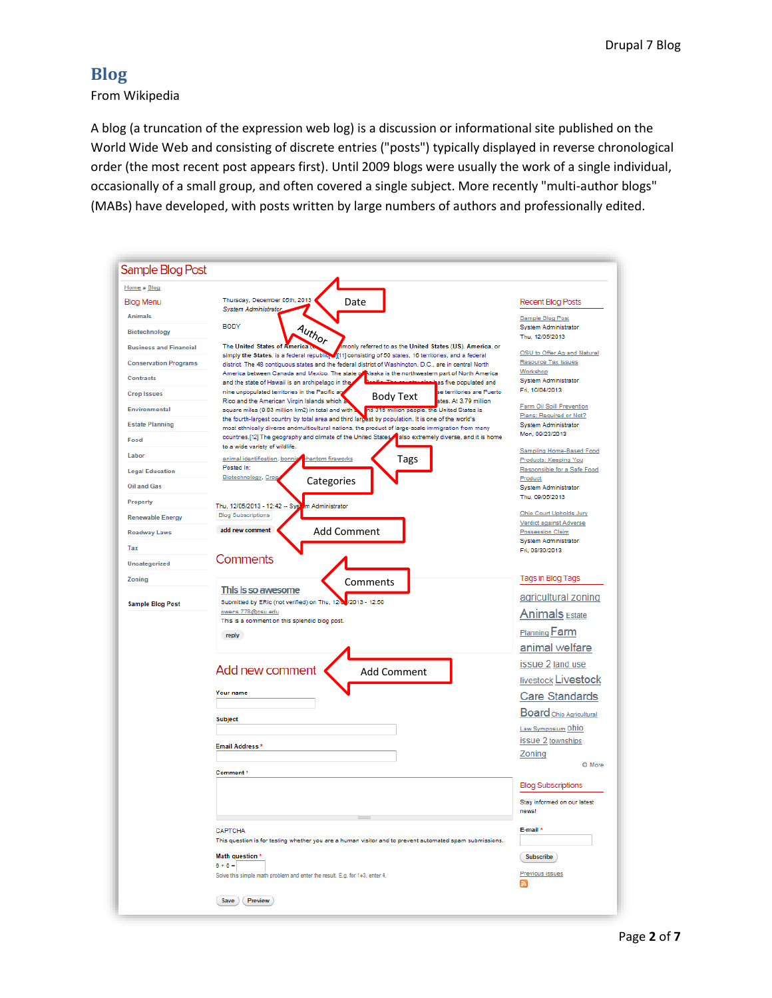# **Blog**

From Wikipedia

A blog (a truncation of the expression web log) is a discussion or informational site published on the World Wide Web and consisting of discrete entries ("posts") typically displayed in reverse chronological order (the most recent post appears first). Until 2009 blogs were usually the work of a single individual, occasionally of a small group, and often covered a single subject. More recently "multi-author blogs" (MABs) have developed, with posts written by large numbers of authors and professionally edited.

| Home » Blog                   |                                                                                                                                                                                                            |                                                        |
|-------------------------------|------------------------------------------------------------------------------------------------------------------------------------------------------------------------------------------------------------|--------------------------------------------------------|
| <b>Blog Menu</b>              | Thursday, December 05th, 2013<br>Date                                                                                                                                                                      | <b>Recent Blog Posts</b>                               |
| <b>Animals</b>                | <b>System Administrator</b>                                                                                                                                                                                | Sample Blog Post                                       |
|                               | <b>BODY</b>                                                                                                                                                                                                | <b>System Administrator</b>                            |
| Biotechnology                 | $A_{\mathcal{U}t\mathcal{h}_{O_{\mathcal{T}}}}$                                                                                                                                                            | Thu, 12/05/2013                                        |
| <b>Business and Financial</b> | <b>The United States of America</b><br>monly referred to as the United States (US). America, or<br>simply the States, is a federal republic<br>[11] consisting of 50 states, 16 territories, and a federal | OSU to Offer Ag and Natural                            |
| <b>Conservation Programs</b>  | district. The 48 contiguous states and the federal district of Washington, D.C., are in central North                                                                                                      | Resource Tax Issues                                    |
| <b>Contracts</b>              | America between Canada and Mexico. The state of Naska is the northwestern part of North America<br>and the state of Hawaii is an archipelago in the<br>as five populated and                               | Workshop<br><b>System Administrator</b>                |
| <b>Crop Issues</b>            | nine unpopulated territories in the Pacific are<br>se territories are Puerto<br>Body Text                                                                                                                  | Fri, 10/04/2013                                        |
| <b>Environmental</b>          | Rico and the American Virgin Islands which<br>ates. At 3.79 million<br>square miles (9.83 million km2) in total and with<br>nd 316 million people, the United States is                                    | <b>Farm Oil Spill Prevention</b>                       |
| <b>Estate Planning</b>        | the fourth-largest country by total area and third largest by population. It is one of the world's                                                                                                         | Plans: Required or Not?<br><b>System Administrator</b> |
|                               | most ethnically diverse andmulticultural nations, the product of large-scale immigration from many<br>countries.[12] The geography and climate of the United States also extremely diverse, and it is home | Mon, 09/23/2013                                        |
| Food                          | to a wide variety of wildlife.                                                                                                                                                                             | <b>Sampling Home-Based Food</b>                        |
| Labor                         | animal identification, bonnie hantom fireworks<br>Tags                                                                                                                                                     | Products: Keeping You                                  |
| <b>Legal Education</b>        | Posted In:<br>Biotechnology, Crop                                                                                                                                                                          | Responsible for a Safe Food<br>Product                 |
| <b>Oil and Gas</b>            | Categories                                                                                                                                                                                                 | <b>System Administrator</b>                            |
| <b>Property</b>               | Thu, 12/05/2013 - 12:42 -- Sys-<br>m Administrator                                                                                                                                                         | Thu, 09/05/2013                                        |
| <b>Renewable Energy</b>       | <b>Blog Subscriptions</b>                                                                                                                                                                                  | Ohio Court Upholds Jury                                |
|                               | add new comment<br><b>Add Comment</b>                                                                                                                                                                      | Verdict against Adverse<br><b>Possession Claim</b>     |
| <b>Roadway Laws</b>           |                                                                                                                                                                                                            | <b>System Administrator</b>                            |
| Tax                           | Comments                                                                                                                                                                                                   | Fri. 08/30/2013                                        |
| <b>Uncategorized</b>          |                                                                                                                                                                                                            |                                                        |
| Zoning                        | Comments                                                                                                                                                                                                   | Tags in Blog Tags                                      |
|                               | This is so awesome                                                                                                                                                                                         | agricultural zoning                                    |
| <b>Sample Blog Post</b>       | Submitted by ERic (not verified) on Thu, 12/6<br>/2013 - 12:50<br>owens.778@osu.edu                                                                                                                        | Animals <b>Estate</b>                                  |
|                               | This is a comment on this splendid blog post.                                                                                                                                                              |                                                        |
|                               | reply                                                                                                                                                                                                      | Planning Farm                                          |
|                               |                                                                                                                                                                                                            | animal welfare                                         |
|                               |                                                                                                                                                                                                            | issue 2 land use                                       |
|                               | Add new comment<br><b>Add Comment</b>                                                                                                                                                                      | <b>Iivestock Livestock</b>                             |
|                               | <b>Your name</b>                                                                                                                                                                                           | <b>Care Standards</b>                                  |
|                               |                                                                                                                                                                                                            |                                                        |
|                               | <b>Subject</b>                                                                                                                                                                                             | Board Ohio Agricultural                                |
|                               |                                                                                                                                                                                                            | Law Symposium Ohio                                     |
|                               | <b>Email Address *</b>                                                                                                                                                                                     | issue 2 townships                                      |
|                               |                                                                                                                                                                                                            | Zoning                                                 |
|                               | Comment*                                                                                                                                                                                                   | <b>O</b> More                                          |
|                               |                                                                                                                                                                                                            | <b>Blog Subscriptions</b>                              |
|                               |                                                                                                                                                                                                            | Stay informed on our latest                            |
|                               |                                                                                                                                                                                                            | news!                                                  |
|                               |                                                                                                                                                                                                            | E-mail*                                                |
|                               | CAPTCHA<br>This question is for testing whether you are a human visitor and to prevent automated spam submissions.                                                                                         |                                                        |
|                               | Math question '                                                                                                                                                                                            | <b>Subscribe</b>                                       |
|                               | $6 + 0 =$                                                                                                                                                                                                  |                                                        |
|                               |                                                                                                                                                                                                            | <b>Previous issues</b>                                 |
|                               | Solve this simple math problem and enter the result. E.g. for 1+3, enter 4.                                                                                                                                | la.                                                    |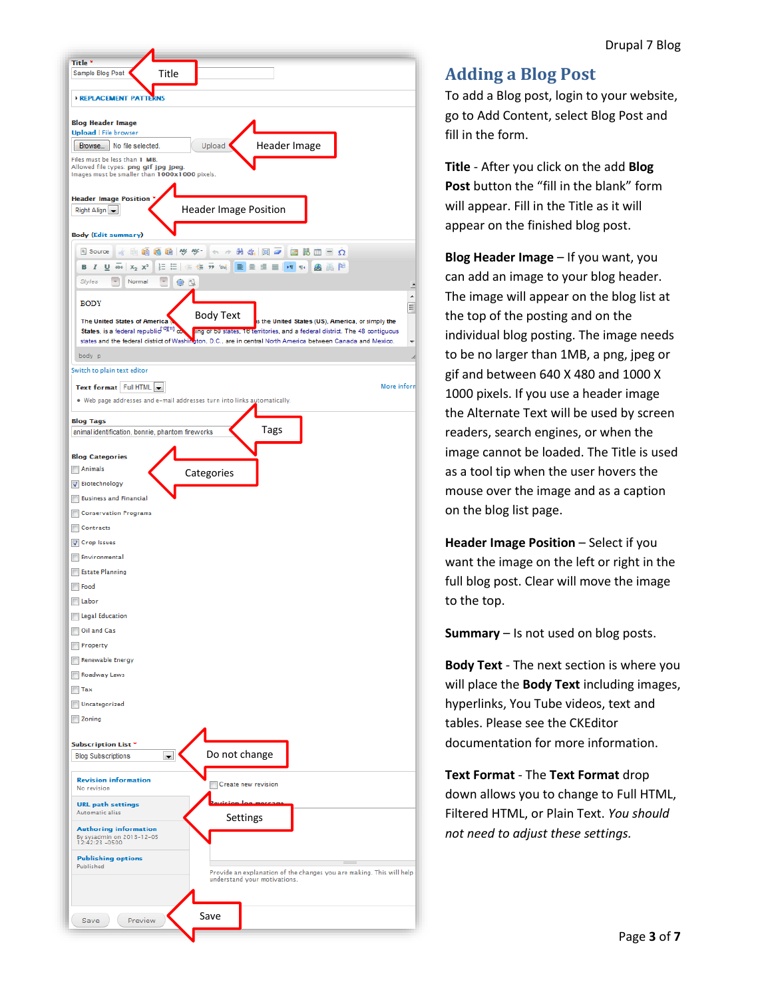

## **Adding a Blog Post**

To add a Blog post, login to your website, go to Add Content, select Blog Post and fill in the form.

**Title** - After you click on the add **Blog Post** button the "fill in the blank" form will appear. Fill in the Title as it will appear on the finished blog post.

**Blog Header Image** – If you want, you can add an image to your blog header. The image will appear on the blog list at the top of the posting and on the individual blog posting. The image needs to be no larger than 1MB, a png, jpeg or gif and between 640 X 480 and 1000 X 1000 pixels. If you use a header image the Alternate Text will be used by screen readers, search engines, or when the image cannot be loaded. The Title is used as a tool tip when the user hovers the mouse over the image and as a caption on the blog list page.

**Header Image Position** – Select if you want the image on the left or right in the full blog post. Clear will move the image to the top.

**Summary** – Is not used on blog posts.

**Body Text** - The next section is where you will place the **Body Text** including images, hyperlinks, You Tube videos, text and tables. Please see the CKEditor documentation for more information.

**Text Format** - The **Text Format** drop down allows you to change to Full HTML, Filtered HTML, or Plain Text. *You should not need to adjust these settings.*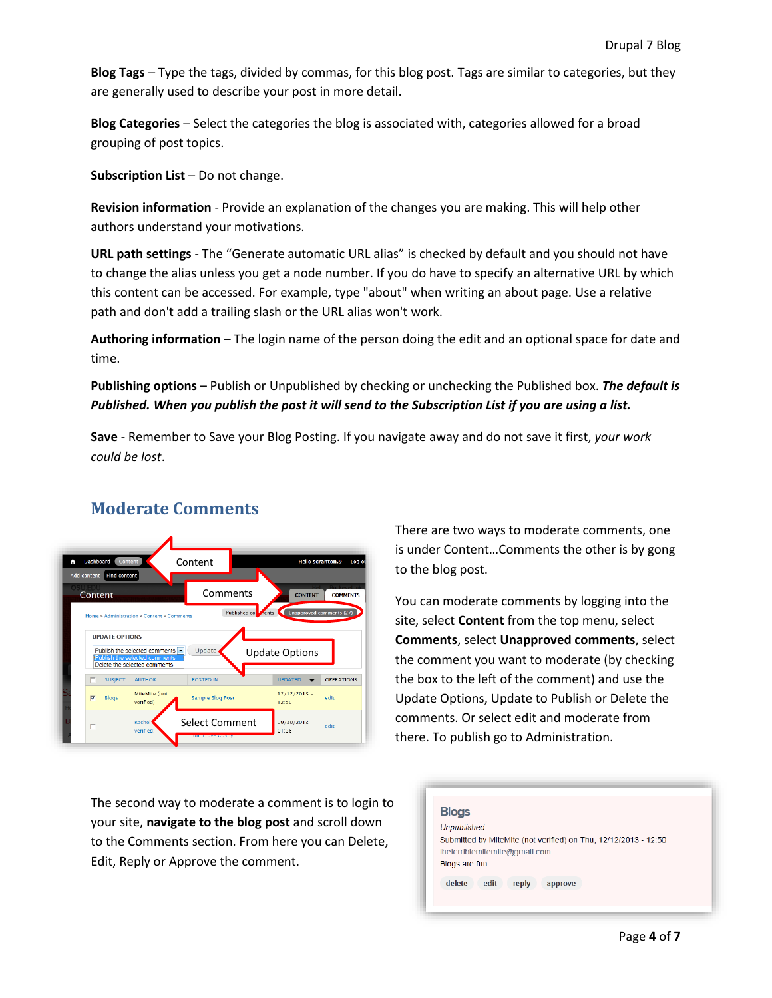**Blog Tags** *–* Type the tags, divided by commas, for this blog post. Tags are similar to categories, but they are generally used to describe your post in more detail.

**Blog Categories** – Select the categories the blog is associated with, categories allowed for a broad grouping of post topics.

**Subscription List** – Do not change.

**Revision information** - Provide an explanation of the changes you are making. This will help other authors understand your motivations.

**URL path settings** - The "Generate automatic URL alias" is checked by default and you should not have to change the alias unless you get a node number. If you do have to specify an alternative URL by which this content can be accessed. For example, type "about" when writing an about page. Use a relative path and don't add a trailing slash or the URL alias won't work.

**Authoring information** – The login name of the person doing the edit and an optional space for date and time.

**Publishing options** – Publish or Unpublished by checking or unchecking the Published box. *The default is Published. When you publish the post it will send to the Subscription List if you are using a list.*

**Save** - Remember to Save your Blog Posting. If you navigate away and do not save it first, *your work could be lost*.



# **Moderate Comments**

There are two ways to moderate comments, one is under Content…Comments the other is by gong to the blog post.

You can moderate comments by logging into the site, select **Content** from the top menu, select **Comments**, select **Unapproved comments**, select the comment you want to moderate (by checking the box to the left of the comment) and use the Update Options, Update to Publish or Delete the comments. Or select edit and moderate from there. To publish go to Administration.

The second way to moderate a comment is to login to your site, **navigate to the blog post** and scroll down to the Comments section. From here you can Delete, Edit, Reply or Approve the comment.

| Submitted by MiteMite (not verified) on Thu, 12/12/2013 - 12:50<br>theterriblemitemite@gmail.com | <b>Blogs</b>   |                  |
|--------------------------------------------------------------------------------------------------|----------------|------------------|
|                                                                                                  | Unpublished    |                  |
|                                                                                                  |                |                  |
|                                                                                                  |                |                  |
|                                                                                                  | Blogs are fun. |                  |
|                                                                                                  | delete<br>edit | reply<br>approve |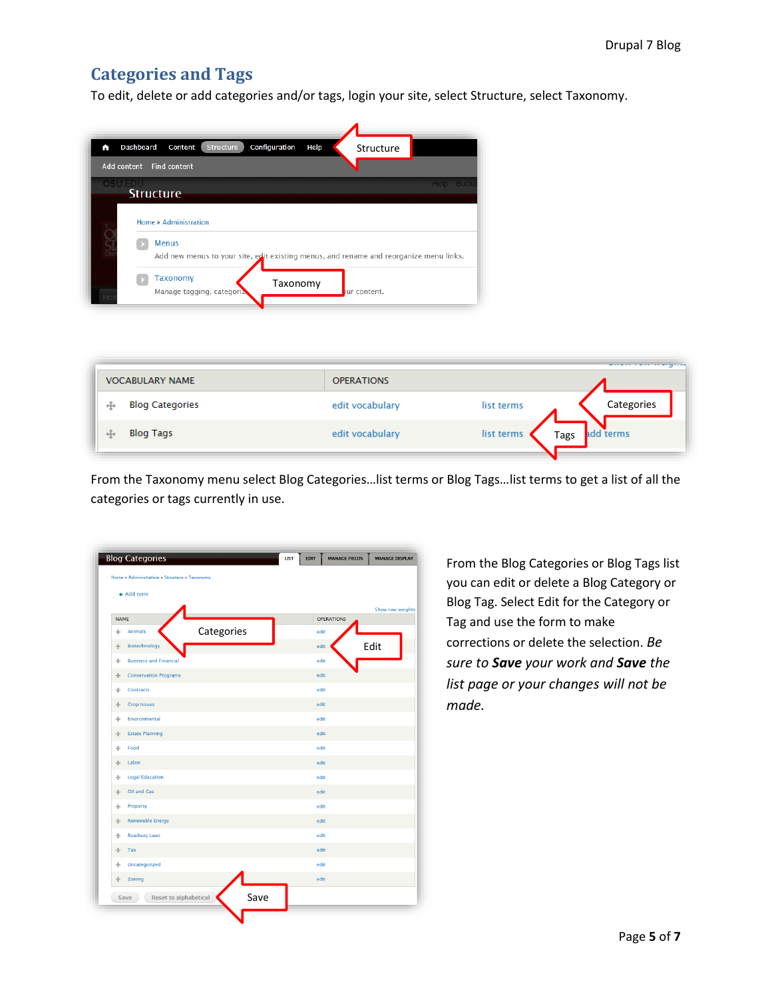# **Categories and Tags**

To edit, delete or add categories and/or tags, login your site, select Structure, select Taxonomy.

| Α | Dashboard<br>Configuration<br>Help<br>Content<br>Structure<br>Structure                |           |
|---|----------------------------------------------------------------------------------------|-----------|
|   | Add content Find content                                                               |           |
|   |                                                                                        | Help Buck |
|   | <b>Structure</b>                                                                       |           |
|   |                                                                                        |           |
|   | <b>Home » Administration</b>                                                           |           |
|   | <b>Menus</b>                                                                           |           |
|   | Add new menus to your site, edit existing menus, and rename and reorganize menu links. |           |
|   | <b>Taxonomy</b><br>Taxonomy                                                            |           |

| <b>VOCABULARY NAME</b>      | <b>OPERATIONS</b> |                    | <b>The Commission Commission</b><br>------ |
|-----------------------------|-------------------|--------------------|--------------------------------------------|
| <b>Blog Categories</b><br>↔ | edit vocabulary   | list terms         | Categories                                 |
| <b>Blog Tags</b><br>$+1$    | edit vocabulary   | list terms<br>Tags | add terms                                  |

From the Taxonomy menu select Blog Categories…list terms or Blog Tags…list terms to get a list of all the categories or tags currently in use.

| + Add term                                   |            |                   |                  |
|----------------------------------------------|------------|-------------------|------------------|
|                                              |            |                   | Show row weights |
| <b>NAME</b>                                  |            | <b>OPERATIONS</b> |                  |
| <b>Animals</b><br>÷                          | Categories | edit              |                  |
| Biotechnology<br>$\ddot{\pm}$                |            | edit              | Edit             |
| <b>Business and Financial</b><br>÷           |            | edit              |                  |
| <b>Conservation Programs</b><br>$\ddot{\pm}$ |            | edit              |                  |
| ÷<br>Contracts                               |            | edit              |                  |
| <b>Crop Issues</b><br>÷                      |            | edit              |                  |
| Environmental<br>÷                           |            | edit              |                  |
| <b>Estate Planning</b><br>÷                  |            | edit              |                  |
| Food<br>÷                                    |            | edit              |                  |
| Labor<br>$\ddot{\div}$                       |            | edit              |                  |
| <b>Legal Education</b><br>÷                  |            | edit              |                  |
| Oil and Gas<br>÷                             |            | edit              |                  |
| Property<br>÷                                |            | edit              |                  |
| <b>Renewable Energy</b><br>$\ddot{\div}$     |            | edit              |                  |
| <b>Roadway Laws</b><br>⊕                     |            | edit              |                  |
| ÷<br>Tax                                     |            | edit              |                  |
| Uncategorized<br>÷                           |            | edit              |                  |
| Zoning<br>÷                                  |            | edit              |                  |

From the Blog Categories or Blog Tags list you can edit or delete a Blog Category or Blog Tag. Select Edit for the Category or Tag and use the form to make corrections or delete the selection. *Be sure to Save your work and Save the list page or your changes will not be made.*